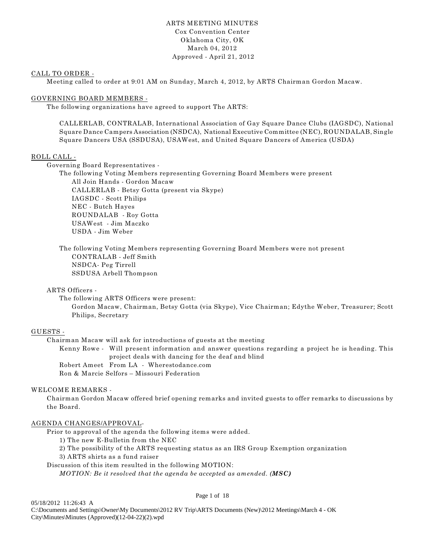# ARTS MEETING MINUTES Cox Convention Center Oklahoma City, OK March 04, 2012 Approved - April 21, 2012

#### CALL TO ORDER -

Meeting called to order at 9:01 AM on Sunday, March 4, 2012, by ARTS Chairman Gordon Macaw.

#### GOVERNING BOARD MEMBERS -

The following organizations have agreed to support The ARTS:

CALLERLAB, CONTRALAB, International Association of Gay Square Dance Clubs (IAGSDC), National Square Dance Campers Association (NSDCA), National Executive Committee (NEC), ROUNDALAB, Single Square Dancers USA (SSDUSA), USAWest, and United Square Dancers of America (USDA)

#### ROLL CALL -

Governing Board Representatives -

The following Voting Members representing Governing Board Members were present All Join Hands - Gordon Macaw CALLERLAB - Betsy Gotta (present via Skype) IAGSDC - Scott Philips NEC - Butch Hayes ROUNDALAB - Roy Gotta

USAWest - Jim Maczko USDA - Jim Weber

The following Voting Members representing Governing Board Members were not present CONTRALAB - Jeff Smith NSDCA- Peg Tirrell SSDUSA Arbell Thompson

## ARTS Officers -

The following ARTS Officers were present: Gordon Macaw, Chairman, Betsy Gotta (via Skype), Vice Chairman; Edythe Weber, Treasurer; Scott Philips, Secretary

#### GUESTS -

Chairman Macaw will ask for introductions of guests at the meeting Kenny Rowe - Will present information and answer questions regarding a project he is heading. This

project deals with dancing for the deaf and blind Robert Ameet From LA - Wherestodance.com

Ron & Marcie Selfors – Missouri Federation

#### WELCOME REMARKS -

Chairman Gordon Macaw offered brief opening remarks and invited guests to offer remarks to discussions by the Board.

#### AGENDA CHANGES/APPROVAL-

Prior to approval of the agenda the following items were added.

1) The new E-Bulletin from the NEC

2) The possibility of the ARTS requesting status as an IRS Group Exemption organization

3) ARTS shirts as a fund raiser

Discussion of this item resulted in the following MOTION:

*MOTION: Be it resolved that the agenda be accepted as amended. (MSC)*

#### Page 1 of 18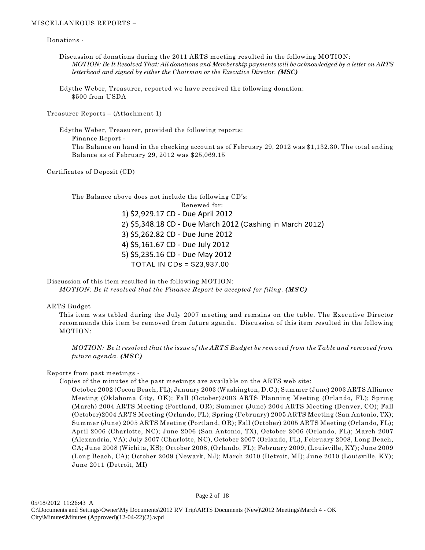#### MISCELLANEOUS REPORTS –

Donations -

Discussion of donations during the 2011 ARTS meeting resulted in the following MOTION: *MOTION: Be It Resolved That: All donations and Membership payments will be acknowledged by a letter on ARTS letterhead and signed by either the Chairman or the Executive Director.* (MSC)

Edythe Weber, Treasurer, reported we have received the following donation: \$500 from USDA

Treasurer Reports – (Attachment 1)

Edythe Weber, Treasurer, provided the following reports: Finance Report - The Balance on hand in the checking account as of February 29, 2012 was \$1,132.30. The total ending Balance as of February 29, 2012 was \$25,069.15

Certificates of Deposit (CD)

The Balance above does not include the following CD's:

Renewed for:

1) \$2,929.17 CD - Due April 2012 2) \$5,348.18 CD - Due March 2012 (Cashing in March 2012) 3) \$5,262.82 CD - Due June 2012 4) \$5,161.67 CD - Due July 2012 5) \$5,235.16 CD - Due May 2012 TOTAL IN CDs = \$23,937.00

Discussion of this item resulted in the following MOTION: *MOTION: Be it resolved that the Finance Report be accepted for filing. (MSC)*

#### ARTS Budget

This item was tabled during the July 2007 meeting and remains on the table. The Executive Director recommends this item be removed from future agenda. Discussion of this item resulted in the following MOTION:

*MOTION: Be it resolved that the issue of the ARTS Budget be removed from the Table and removed from future agenda. (MSC)*

# Reports from past meetings -

Copies of the minutes of the past meetings are available on the ARTS web site:

October 2002 (Cocoa Beach, FL); January 2003 (Washington, D.C.); Summer (June) 2003 ARTS Alliance Meeting (Oklahoma City, OK); Fall (October)2003 ARTS Planning Meeting (Orlando, FL); Spring (March) 2004 ARTS Meeting (Portland, OR); Summer (June) 2004 ARTS Meeting (Denver, CO); Fall (October)2004 ARTS Meeting (Orlando, FL); Spring (February) 2005 ARTS Meeting (San Antonio, TX); Summer (June) 2005 ARTS Meeting (Portland, OR); Fall (October) 2005 ARTS Meeting (Orlando, FL); April 2006 (Charlotte, NC); June 2006 (San Antonio, TX), October 2006 (Orlando, FL); March 2007 (Alexandria, VA); July 2007 (Charlotte, NC), October 2007 (Orlando, FL), February 2008, Long Beach, CA; June 2008 (Wichita, KS); October 2008, (Orlando, FL); February 2009, (Louisville, KY); June 2009 (Long Beach, CA); October 2009 (Newark, NJ); March 2010 (Detroit, MI); June 2010 (Louisville, KY); June 2011 (Detroit, MI)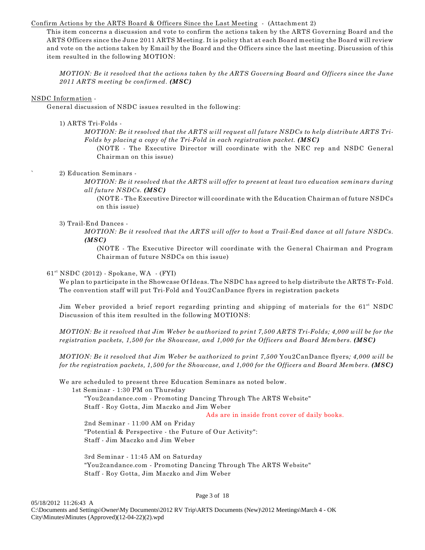# Confirm Actions by the ARTS Board & Officers Since the Last Meeting - (Attachment 2)

This item concerns a discussion and vote to confirm the actions taken by the ARTS Governing Board and the ARTS Officers since the June 2011 ARTS Meeting. It is policy that at each Board meeting the Board will review and vote on the actions taken by Email by the Board and the Officers since the last meeting. Discussion of this item resulted in the following MOTION:

*MOTION: Be it resolved that the actions taken by the ARTS Governing Board and Officers since the June 2011 ARTS meeting be confirmed. (MSC)*

## NSDC Information -

General discussion of NSDC issues resulted in the following:

1) ARTS Tri-Folds -

*MOTION: Be it resolved that the ARTS will request all future NSDCs to help distribute ARTS Tri-Folds by placing a copy of the Tri-Fold in each registration packet. (MSC)*

(NOTE - The Executive Director will coordinate with the NEC rep and NSDC General Chairman on this issue)

## 2) Education Seminars -

*MOTION: Be it resolved that the ARTS will offer to present at least two education seminars during all future NSDCs. (MSC)*

(NOTE - The Executive Director will coordinate with the Education Chairman of future NSDCs on this issue)

## 3) Trail-End Dances -

*MOTION: Be it resolved that the ARTS will offer to host a Trail-End dance at all future NSDCs. (MSC)*

(NOTE - The Executive Director will coordinate with the General Chairman and Program Chairman of future NSDCs on this issue)

## $61<sup>st</sup> NSDC (2012) - Spokane, WA - (FYI)$

We plan to participate in the Showcase Of Ideas. The NSDC has agreed to help distribute the ARTS Tr-Fold. The convention staff will put Tri-Fold and You2CanDance flyers in registration packets

Jim Weber provided a brief report regarding printing and shipping of materials for the  $61<sup>st</sup>$  NSDC Discussion of this item resulted in the following MOTIONS:

*MOTION: Be it resolved that Jim Weber be authorized to print 7,500 ARTS Tri-Folds; 4,000 will be for the registration packets, 1,500 for the Showcase, and 1,000 for the Officers and Board Members. (MSC)*

*MOTION: Be it resolved that Jim Weber be authorized to print 7,500* You2CanDance flyers*; 4,000 will be for the registration packets, 1,500 for the Showcase, and 1,000 for the Officers and Board Members. (MSC)*

We are scheduled to present three Education Seminars as noted below.

1st Seminar - 1:30 PM on Thursday

"You2candance.com - Promoting Dancing Through The ARTS Website" Staff - Roy Gotta, Jim Maczko and Jim Weber

Ads are in inside front cover of daily books.

2nd Seminar - 11:00 AM on Friday "Potential & Perspective - the Future of Our Activity": Staff - Jim Maczko and Jim Weber

3rd Seminar - 11:45 AM on Saturday "You2candance.com - Promoting Dancing Through The ARTS Website" Staff - Roy Gotta, Jim Maczko and Jim Weber

Page 3 of 18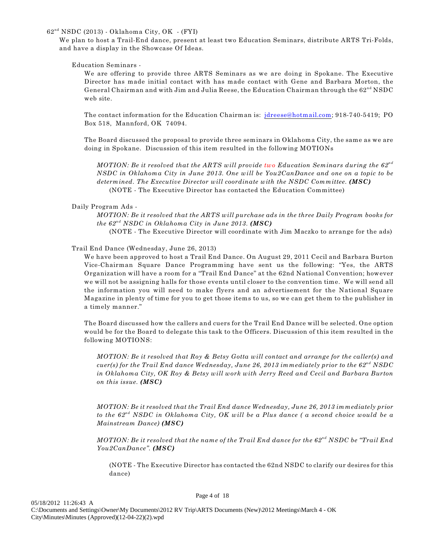$62<sup>nd</sup> NSDC (2013) - Oklahoma City, OK - (FYI)$ 

We plan to host a Trail-End dance, present at least two Education Seminars, distribute ARTS Tri-Folds, and have a display in the Showcase Of Ideas.

Education Seminars -

We are offering to provide three ARTS Seminars as we are doing in Spokane. The Executive Director has made initial contact with has made contact with Gene and Barbara Morton, the General Chairman and with Jim and Julia Reese, the Education Chairman through the  $62<sup>nd</sup> NSDC$ web site.

The contact information for the Education Chairman is: [jdreese@hotmail.com](mailto:jdreese@hotmail.com); 918-740-5419; PO Box 518, Mannford, OK 74094.

The Board discussed the proposal to provide three seminars in Oklahoma City, the same as we are doing in Spokane. Discussion of this item resulted in the following MOTIONs

*MOTION: Be it resolved that the ARTS will provide two Education Seminars during the 62nd NSDC in Oklahoma City in June 2013. One will be You2CanDance and one on a topic to be determined. The Executive Director will coordinate with the NSDC Committee. (MSC)* (NOTE - The Executive Director has contacted the Education Committee)

Daily Program Ads -

*MOTION: Be it resolved that the ARTS will purchase ads in the three Daily Program books for the*  $62^{nd}$  *NSDC in Oklahoma City in June 2013. (MSC)* 

(NOTE - The Executive Director will coordinate with Jim Maczko to arrange for the ads)

Trail End Dance (Wednesday, June 26, 2013)

We have been approved to host a Trail End Dance. On August 29, 2011 Cecil and Barbara Burton Vice-Chairman Square Dance Programming have sent us the following: "Yes, the ARTS Organization will have a room for a "Trail End Dance" at the 62nd National Convention; however we will not be assigning halls for those events until closer to the convention time. We will send all the information you will need to make flyers and an advertisement for the National Square Magazine in plenty of time for you to get those items to us, so we can get them to the publisher in a timely manner."

The Board discussed how the callers and cuers for the Trail End Dance will be selected. One option would be for the Board to delegate this task to the Officers. Discussion of this item resulted in the following MOTIONS:

*MOTION: Be it resolved that Roy & Betsy Gotta will contact and arrange for the caller(s) and cuer(s) for the Trail End dance Wednesday, June 26, 2013 immediately prior to the 62<sup>nd</sup> NSDC in Oklahoma City, OK Roy & Betsy will work with Jerry Reed and Cecil and Barbara Burton on this issue. (MSC)*

*MOTION: Be it resolved that the Trail End dance Wednesday, June 26, 2013 immediately prior to the 62<sup>nd</sup> NSDC in Oklahoma City, OK will be a Plus dance (a second choice would be a Mainstream Dance) (MSC)*

*MOTION: Be it resolved that the name of the Trail End dance for the 62<sup>nd</sup> NSDC be "Trail End You2CanDance". (MSC)*

(NOTE - The Executive Director has contacted the 62nd NSDC to clarify our desires for this dance)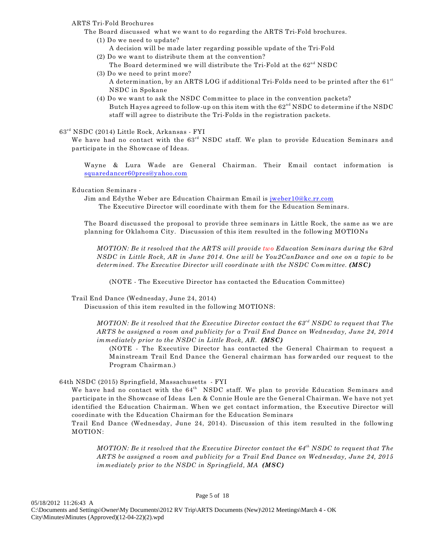## ARTS Tri-Fold Brochures

- The Board discussed what we want to do regarding the ARTS Tri-Fold brochures.
	- (1) Do we need to update? A decision will be made later regarding possible update of the Tri-Fold
	- (2) Do we want to distribute them at the convention? The Board determined we will distribute the Tri-Fold at the  $62<sup>nd</sup> NSDC$
	- (3) Do we need to print more? A determination, by an ARTS LOG if additional Tri-Folds need to be printed after the  $61<sup>st</sup>$ 
		- NSDC in Spokane
	- (4) Do we want to ask the NSDC Committee to place in the convention packets? Butch Hayes agreed to follow-up on this item with the  $62<sup>nd</sup> NSDC$  to determine if the NSDC staff will agree to distribute the Tri-Folds in the registration packets.

## $63<sup>rd</sup> NSDC (2014) Little Rock, Arkansas - FYI$

We have had no contact with the  $63<sup>rd</sup>$  NSDC staff. We plan to provide Education Seminars and participate in the Showcase of Ideas.

Wayne & Lura Wade are General Chairman. Their Email contact information is [squaredancer60pres@yahoo.com](mailto:squaredancer60pres@yahoo.com)

## Education Seminars -

Jim and Edythe Weber are Education Chairman Email is [jweber10@kc.rr.com](mailto:jweber10@kc.rr.com)

The Executive Director will coordinate with them for the Education Seminars.

The Board discussed the proposal to provide three seminars in Little Rock, the same as we are planning for Oklahoma City. Discussion of this item resulted in the following MOTIONs

*MOTION: Be it resolved that the ARTS will provide two Education Seminars during the 63rd NSDC in Little Rock, AR in June 2014. One will be You2CanDance and one on a topic to be determined. The Executive Director will coordinate with the NSDC Committee. (MSC)*

(NOTE - The Executive Director has contacted the Education Committee)

Trail End Dance (Wednesday, June 24, 2014)

Discussion of this item resulted in the following MOTIONS:

*MOTION: Be it resolved that the Executive Director contact the 63<sup>rd</sup> NSDC to request that The ARTS be assigned a room and publicity for a Trail End Dance on Wednesday, June 24, 2014 immediately prior to the NSDC in Little Rock, AR. (MSC)*

(NOTE - The Executive Director has contacted the General Chairman to request a Mainstream Trail End Dance the General chairman has forwarded our request to the Program Chairman.)

64th NSDC (2015) Springfield, Massachusetts - FYI

We have had no contact with the  $64<sup>th</sup>$  NSDC staff. We plan to provide Education Seminars and participate in the Showcase of Ideas Len & Connie Houle are the General Chairman. We have not yet identified the Education Chairman. When we get contact information, the Executive Director will coordinate with the Education Chairman for the Education Seminars

Trail End Dance (Wednesday, June 24, 2014). Discussion of this item resulted in the following MOTION:

*MOTION: Be it resolved that the Executive Director contact the 64<sup>th</sup> NSDC to request that The ARTS be assigned a room and publicity for a Trail End Dance on Wednesday, June 24, 2015 immediately prior to the NSDC in Springfield, MA (MSC)*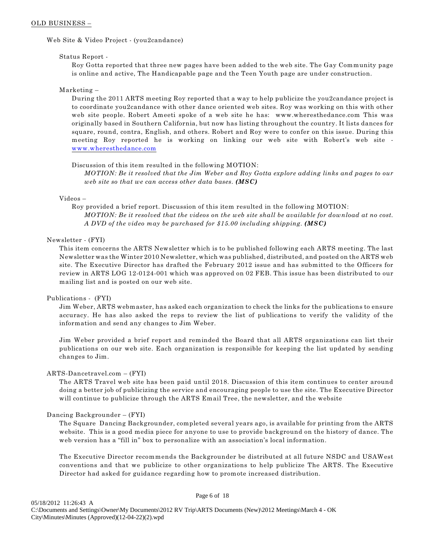#### OLD BUSINESS –

Web Site & Video Project - (you2candance)

#### Status Report -

Roy Gotta reported that three new pages have been added to the web site. The Gay Community page is online and active, The Handicapable page and the Teen Youth page are under construction.

#### Marketing –

During the 2011 ARTS meeting Roy reported that a way to help publicize the you2candance project is to coordinate you2candance with other dance oriented web sites. Roy was working on this with other web site people. Robert Ameeti spoke of a web site he has: www.wheresthedance.com This was originally based in Southern California, but now has listing throughout the country. It lists dances for square, round, contra, English, and others. Robert and Roy were to confer on this issue. During this meeting Roy reported he is working on linking our web site with Robert's web site [www.wheresthedance.com](http://www.wheresthedance.com)

#### Discussion of this item resulted in the following MOTION:

*MOTION: Be it resolved that the Jim Weber and Roy Gotta explore adding links and pages to our web site so that we can access other data bases. (MSC)*

#### Videos –

Roy provided a brief report. Discussion of this item resulted in the following MOTION: *MOTION: Be it resolved that the videos on the web site shall be available for download at no cost. A DVD of the video may be purchased for \$15.00 including shipping. (MSC)*

#### Newsletter - (FYI)

This item concerns the ARTS Newsletter which is to be published following each ARTS meeting. The last Newsletter was the Winter 2010 Newsletter, which was published, distributed, and posted on the ARTS web site. The Executive Director has drafted the February 2012 issue and has submitted to the Officers for review in ARTS LOG 12-0124-001 which was approved on 02 FEB. This issue has been distributed to our mailing list and is posted on our web site.

#### Publications - (FYI)

Jim Weber, ARTS webmaster, has asked each organization to check the links for the publications to ensure accuracy. He has also asked the reps to review the list of publications to verify the validity of the information and send any changes to Jim Weber.

Jim Weber provided a brief report and reminded the Board that all ARTS organizations can list their publications on our web site. Each organization is responsible for keeping the list updated by sending changes to Jim.

#### ARTS-Dancetravel.com – (FYI)

The ARTS Travel web site has been paid until 2018. Discussion of this item continues to center around doing a better job of publicizing the service and encouraging people to use the site. The Executive Director will continue to publicize through the ARTS Email Tree, the newsletter, and the website

#### Dancing Backgrounder – (FYI)

The Square Dancing Backgrounder, completed several years ago, is available for printing from the ARTS website. This is a good media piece for anyone to use to provide background on the history of dance. The web version has a "fill in" box to personalize with an association's local information.

The Executive Director recommends the Backgrounder be distributed at all future NSDC and USAWest conventions and that we publicize to other organizations to help publicize The ARTS. The Executive Director had asked for guidance regarding how to promote increased distribution.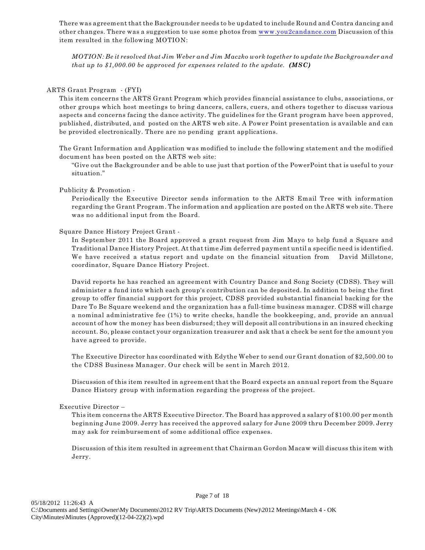There was agreement that the Backgrounder needs to be updated to include Round and Contra dancing and other changes. There was a suggestion to use some photos from [www.you2candance.com](http://www.you2candance.com) Discussion of this item resulted in the following MOTION:

*MOTION: Be it resolved that Jim Weber and Jim Maczko work together to update the Backgrounder and that up to \$1,000.00 be approved for expenses related to the update. (MSC)*

#### ARTS Grant Program - (FYI)

This item concerns the ARTS Grant Program which provides financial assistance to clubs, associations, or other groups which host meetings to bring dancers, callers, cuers, and others together to discuss various aspects and concerns facing the dance activity. The guidelines for the Grant program have been approved, published, distributed, and posted on the ARTS web site. A Power Point presentation is available and can be provided electronically. There are no pending grant applications.

The Grant Information and Application was modified to include the following statement and the modified document has been posted on the ARTS web site:

"Give out the Backgrounder and be able to use just that portion of the PowerPoint that is useful to your situation."

#### Publicity & Promotion -

Periodically the Executive Director sends information to the ARTS Email Tree with information regarding the Grant Program. The information and application are posted on the ARTS web site. There was no additional input from the Board.

#### Square Dance History Project Grant -

In September 2011 the Board approved a grant request from Jim Mayo to help fund a Square and Traditional Dance History Project. At that time Jim deferred payment until a specific need is identified. We have received a status report and update on the financial situation from David Millstone, coordinator, Square Dance History Project.

David reports he has reached an agreement with Country Dance and Song Society (CDSS). They will administer a fund into which each group's contribution can be deposited. In addition to being the first group to offer financial support for this project, CDSS provided substantial financial backing for the Dare To Be Square weekend and the organization has a full-time business manager. CDSS will charge a nominal administrative fee (1%) to write checks, handle the bookkeeping, and, provide an annual account of how the money has been disbursed; they will deposit all contributions in an insured checking account. So, please contact your organization treasurer and ask that a check be sent for the amount you have agreed to provide.

The Executive Director has coordinated with Edythe Weber to send our Grant donation of \$2,500.00 to the CDSS Business Manager. Our check will be sent in March 2012.

Discussion of this item resulted in agreement that the Board expects an annual report from the Square Dance History group with information regarding the progress of the project.

#### Executive Director –

This item concerns the ARTS Executive Director. The Board has approved a salary of \$100.00 per month beginning June 2009. Jerry has received the approved salary for June 2009 thru December 2009. Jerry may ask for reimbursement of some additional office expenses.

Discussion of this item resulted in agreement that Chairman Gordon Macaw will discuss this item with Jerry.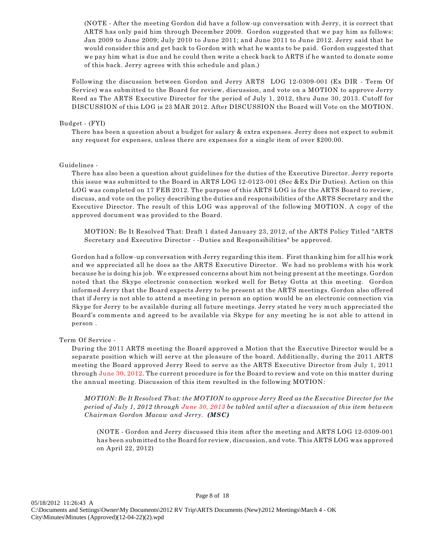(NOTE - After the meeting Gordon did have a follow-up conversation with Jerry, it is correct that ARTS has only paid him through December 2009. Gordon suggested that we pay him as follows: Jan 2009 to June 2009; July 2010 to June 2011; and June 2011 to June 2012. Jerry said that he would consider this and get back to Gordon with what he wants to be paid. Gordon suggested that we pay him what is due and he could then write a check back to ARTS if he wanted to donate some of this back. Jerry agrees with this schedule and plan.)

Following the discussion between Gordon and Jerry ARTS LOG 12-0309-001 (Ex DIR - Term Of Service) was submitted to the Board for review, discussion, and vote on a MOTION to approve Jerry Reed as The ARTS Executive Director for the period of July 1, 2012, thru June 30, 2013. Cutoff for DISCUSSION of this LOG is 23 MAR 2012. After DISCUSSION the Board will Vote on the MOTION.

#### Budget - (FYI)

There has been a question about a budget for salary & extra expenses. Jerry does not expect to submit any request for expenses, unless there are expenses for a single item of over \$200.00.

#### Guidelines -

There has also been a question about guidelines for the duties of the Executive Director. Jerry reports this issue was submitted to the Board in ARTS LOG 12-0123-001 (Sec &Ex Dir Duties). Action on this LOG was completed on 17 FEB 2012. The purpose of this ARTS LOG is for the ARTS Board to review, discuss, and vote on the policy describing the duties and responsibilities of the ARTS Secretary and the Executive Director. The result of this LOG was approval of the following MOTION. A copy of the approved document was provided to the Board.

MOTION: Be It Resolved That: Draft 1 dated January 23, 2012, of the ARTS Policy Titled "ARTS Secretary and Executive Director - -Duties and Responsibilities" be approved.

Gordon had a follow-up conversation with Jerry regarding this item. First thanking him for all his work and we appreciated all he does as the ARTS Executive Director. We had no problems with his work because he is doing his job. We expressed concerns about him not being present at the meetings. Gordon noted that the Skype electronic connection worked well for Betsy Gotta at this meeting. Gordon informed Jerry that the Board expects Jerry to be present at the ARTS meetings. Gordon also offered that if Jerry is not able to attend a meeting in person an option would be an electronic connection via Skype for Jerry to be available during all future meetings. Jerry stated he very much appreciated the Board's comments and agreed to be available via Skype for any meeting he is not able to attend in person .

#### Term Of Service -

During the 2011 ARTS meeting the Board approved a Motion that the Executive Director would be a separate position which will serve at the pleasure of the board. Additionally, during the 2011 ARTS meeting the Board approved Jerry Reed to serve as the ARTS Executive Director from July 1, 2011 through June 30, 2012. The current procedure is for the Board to review and vote on this matter during the annual meeting. Discussion of this item resulted in the following MOTION:

*MOTION: Be It Resolved That: the MOTION to approve Jerry Reed as the Executive Director for the period of July 1, 2012 through June 30, 2013 be tabled until after a discussion of this item between Chairman Gordon Macaw and Jerry. (MSC)*

(NOTE - Gordon and Jerry discussed this item after the meeting and ARTS LOG 12-0309-001 has been submitted to the Board for review, discussion, and vote. This ARTS LOG was approved on April 22, 2012)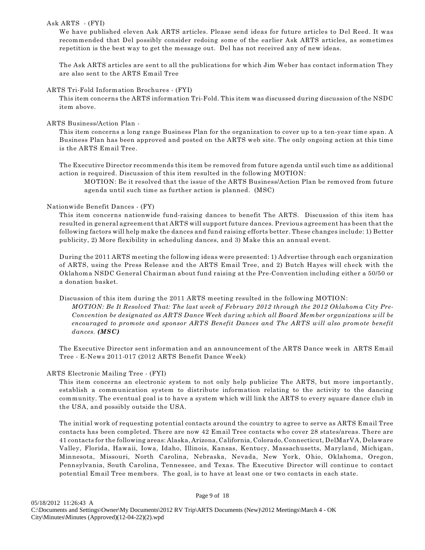## Ask ARTS - (FYI)

We have published eleven Ask ARTS articles. Please send ideas for future articles to Del Reed. It was recommended that Del possibly consider redoing some of the earlier Ask ARTS articles, as sometimes repetition is the best way to get the message out. Del has not received any of new ideas.

The Ask ARTS articles are sent to all the publications for which Jim Weber has contact information They are also sent to the ARTS Email Tree

#### ARTS Tri-Fold Information Brochures - (FYI)

This item concerns the ARTS information Tri-Fold. This item was discussed during discussion of the NSDC item above.

## ARTS Business/Action Plan -

This item concerns a long range Business Plan for the organization to cover up to a ten-year time span. A Business Plan has been approved and posted on the ARTS web site. The only ongoing action at this time is the ARTS Email Tree.

The Executive Director recommends this item be removed from future agenda until such time as additional action is required. Discussion of this item resulted in the following MOTION:

MOTION: Be it resolved that the issue of the ARTS Business/Action Plan be removed from future agenda until such time as further action is planned. (MSC)

# Nationwide Benefit Dances - (FY)

This item concerns nationwide fund-raising dances to benefit The ARTS. Discussion of this item has resulted in general agreement that ARTS will support future dances. Previous agreement has been that the following factors will help make the dances and fund raising efforts better. These changes include: 1) Better publicity, 2) More flexibility in scheduling dances, and 3) Make this an annual event.

During the 2011 ARTS meeting the following ideas were presented: 1) Advertise through each organization of ARTS, using the Press Release and the ARTS Email Tree, and 2) Butch Hayes will check with the Oklahoma NSDC General Chairman about fund raising at the Pre-Convention including either a 50/50 or a donation basket.

Discussion of this item during the 2011 ARTS meeting resulted in the following MOTION: *MOTION: Be It Resolved That: The last week of February 2012 through the 2012 Oklahoma City Pre-Convention be designated as ARTS Dance Week during which all Board Member organizations will be encouraged to promote and sponsor ARTS Benefit Dances and The ARTS will also promote benefit dances. (MSC)*

The Executive Director sent information and an announcement of the ARTS Dance week in ARTS Email Tree - E-News 2011-017 (2012 ARTS Benefit Dance Week)

# ARTS Electronic Mailing Tree - (FYI)

This item concerns an electronic system to not only help publicize The ARTS, but more importantly, establish a communication system to distribute information relating to the activity to the dancing community. The eventual goal is to have a system which will link the ARTS to every square dance club in the USA, and possibly outside the USA.

The initial work of requesting potential contacts around the country to agree to serve as ARTS Email Tree contacts has been completed. There are now 42 Email Tree contacts who cover 28 states/areas. There are 41 contacts for the following areas: Alaska, Arizona, California, Colorado, Connecticut, DelMarVA, Delaware Valley, Florida, Hawaii, Iowa, Idaho, Illinois, Kansas, Kentucy, Massachusetts, Maryland, Michigan, Minnesota, Missouri, North Carolina, Nebraska, Nevada, New York, Ohio, Oklahoma, Oregon, Pennsylvania, South Carolina, Tennessee, and Texas. The Executive Director will continue to contact potential Email Tree members. The goal, is to have at least one or two contacts in each state.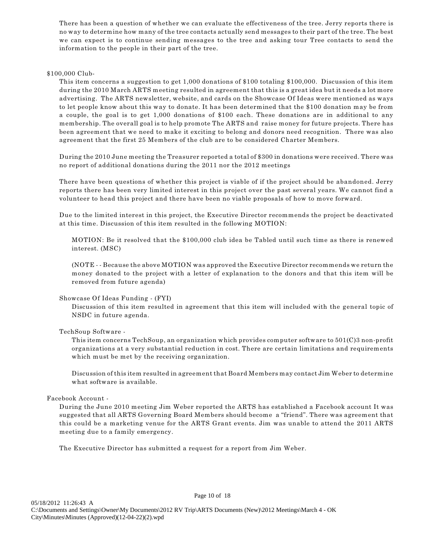There has been a question of whether we can evaluate the effectiveness of the tree. Jerry reports there is no way to determine how many of the tree contacts actually send messages to their part of the tree. The best we can expect is to continue sending messages to the tree and asking tour Tree contacts to send the information to the people in their part of the tree.

## \$100,000 Club-

This item concerns a suggestion to get 1,000 donations of \$100 totaling \$100,000. Discussion of this item during the 2010 March ARTS meeting resulted in agreement that this is a great idea but it needs a lot more advertising. The ARTS newsletter, website, and cards on the Showcase Of Ideas were mentioned as ways to let people know about this way to donate. It has been determined that the \$100 donation may be from a couple, the goal is to get 1,000 donations of \$100 each. These donations are in additional to any membership. The overall goal is to help promote The ARTS and raise money for future projects. There has been agreement that we need to make it exciting to belong and donors need recognition. There was also agreement that the first 25 Members of the club are to be considered Charter Members.

During the 2010 June meeting the Treasurer reported a total of \$300 in donations were received. There was no report of additional donations during the 2011 nor the 2012 meetings

There have been questions of whether this project is viable of if the project should be abandoned. Jerry reports there has been very limited interest in this project over the past several years. We cannot find a volunteer to head this project and there have been no viable proposals of how to move forward.

Due to the limited interest in this project, the Executive Director recommends the project be deactivated at this time. Discussion of this item resulted in the following MOTION:

MOTION: Be it resolved that the \$100,000 club idea be Tabled until such time as there is renewed interest. (MSC)

(NOTE - - Because the above MOTION was approved the Executive Director recommends we return the money donated to the project with a letter of explanation to the donors and that this item will be removed from future agenda)

# Showcase Of Ideas Funding - (FYI)

Discussion of this item resulted in agreement that this item will included with the general topic of NSDC in future agenda.

# TechSoup Software -

This item concerns TechSoup, an organization which provides computer software to 501(C)3 non-profit organizations at a very substantial reduction in cost. There are certain limitations and requirements which must be met by the receiving organization.

Discussion of this item resulted in agreement that Board Members may contact Jim Weber to determine what software is available.

#### Facebook Account -

During the June 2010 meeting Jim Weber reported the ARTS has established a Facebook account It was suggested that all ARTS Governing Board Members should become a "friend". There was agreement that this could be a marketing venue for the ARTS Grant events. Jim was unable to attend the 2011 ARTS meeting due to a family emergency.

The Executive Director has submitted a request for a report from Jim Weber.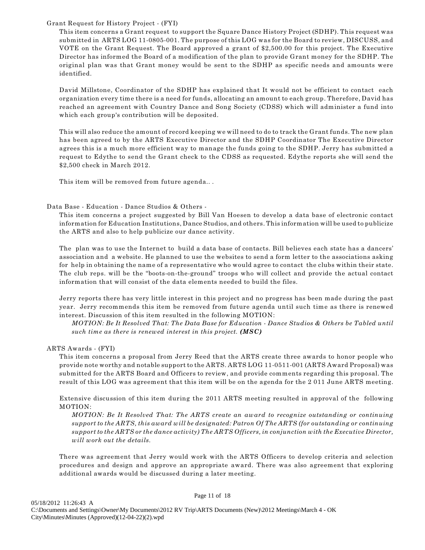## Grant Request for History Project - (FYI)

This item concerns a Grant request to support the Square Dance History Project (SDHP). This request was submitted in ARTS LOG 11-0805-001. The purpose of this LOG was for the Board to review, DISCUSS, and VOTE on the Grant Request. The Board approved a grant of \$2,500.00 for this project. The Executive Director has informed the Board of a modification of the plan to provide Grant money for the SDHP. The original plan was that Grant money would be sent to the SDHP as specific needs and amounts were identified.

David Millstone, Coordinator of the SDHP has explained that It would not be efficient to contact each organization every time there is a need for funds, allocating an amount to each group. Therefore, David has reached an agreement with Country Dance and Song Society (CDSS) which will administer a fund into which each group's contribution will be deposited.

This will also reduce the amount of record keeping we will need to do to track the Grant funds. The new plan has been agreed to by the ARTS Executive Director and the SDHP Coordinator The Executive Director agrees this is a much more efficient way to manage the funds going to the SDHP. Jerry has submitted a request to Edythe to send the Grant check to the CDSS as requested. Edythe reports she will send the \$2,500 check in March 2012.

This item will be removed from future agenda.. .

# Data Base - Education - Dance Studios & Others -

This item concerns a project suggested by Bill Van Hoesen to develop a data base of electronic contact information for Education Institutions, Dance Studios, and others. This information will be used to publicize the ARTS and also to help publicize our dance activity.

The plan was to use the Internet to build a data base of contacts. Bill believes each state has a dancers' association and a website. He planned to use the websites to send a form letter to the associations asking for help in obtaining the name of a representative who would agree to contact the clubs within their state. The club reps. will be the "boots-on-the-ground" troops who will collect and provide the actual contact information that will consist of the data elements needed to build the files.

Jerry reports there has very little interest in this project and no progress has been made during the past year. Jerry recommends this item be removed from future agenda until such time as there is renewed interest. Discussion of this item resulted in the following MOTION:

*MOTION: Be It Resolved That: The Data Base for Education - Dance Studios & Others be Tabled until such time as there is renewed interest in this project. (MSC)*

# ARTS Awards - (FYI)

This item concerns a proposal from Jerry Reed that the ARTS create three awards to honor people who provide note worthy and notable support to the ARTS. ARTS LOG 11-0511-001 (ARTS Award Proposal) was submitted for the ARTS Board and Officers to review, and provide comments regarding this proposal. The result of this LOG was agreement that this item will be on the agenda for the 2 011 June ARTS meeting.

Extensive discussion of this item during the 2011 ARTS meeting resulted in approval of the following MOTION:

*MOTION: Be It Resolved That: The ARTS create an award to recognize outstanding or continuing support to the ARTS, this award will be designated: Patron Of The ARTS (for outstanding or continuing support to the ARTS or the dance activity) The ARTS Officers, in conjunction with the Executive Director, will work out the details.*

There was agreement that Jerry would work with the ARTS Officers to develop criteria and selection procedures and design and approve an appropriate award. There was also agreement that exploring additional awards would be discussed during a later meeting.

#### Page 11 of 18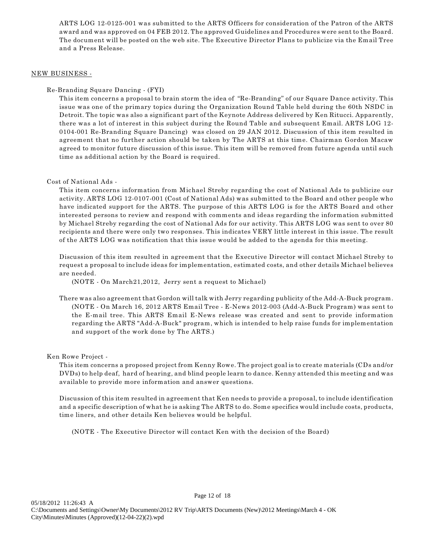ARTS LOG 12-0125-001 was submitted to the ARTS Officers for consideration of the Patron of the ARTS award and was approved on 04 FEB 2012. The approved Guidelines and Procedures were sent to the Board. The document will be posted on the web site. The Executive Director Plans to publicize via the Email Tree and a Press Release.

## NEW BUSINESS -

Re-Branding Square Dancing - (FYI)

This item concerns a proposal to brain storm the idea of "Re-Branding" of our Square Dance activity. This issue was one of the primary topics during the Organization Round Table held during the 60th NSDC in Detroit. The topic was also a significant part of the Keynote Address delivered by Ken Ritucci. Apparently, there was a lot of interest in this subject during the Round Table and subsequent Email. ARTS LOG 12- 0104-001 Re-Branding Square Dancing) was closed on 29 JAN 2012. Discussion of this item resulted in agreement that no further action should be taken by The ARTS at this time. Chairman Gordon Macaw agreed to monitor future discussion of this issue. This item will be removed from future agenda until such time as additional action by the Board is required.

# Cost of National Ads -

This item concerns information from Michael Streby regarding the cost of National Ads to publicize our activity. ARTS LOG 12-0107-001 (Cost of National Ads) was submitted to the Board and other people who have indicated support for the ARTS. The purpose of this ARTS LOG is for the ARTS Board and other interested persons to review and respond with comments and ideas regarding the information submitted by Michael Streby regarding the cost of National Ads for our activity. This ARTS LOG was sent to over 80 recipients and there were only two responses. This indicates VERY little interest in this issue. The result of the ARTS LOG was notification that this issue would be added to the agenda for this meeting.

Discussion of this item resulted in agreement that the Executive Director will contact Michael Streby to request a proposal to include ideas for implementation, estimated costs, and other details Michael believes are needed.

(NOTE - On March21,2012, Jerry sent a request to Michael)

There was also agreement that Gordon will talk with Jerry regarding publicity of the Add-A-Buck program. (NOTE - On March 16, 2012 ARTS Email Tree - E-News 2012-003 (Add-A-Buck Program) was sent to the E-mail tree. This ARTS Email E-News release was created and sent to provide information regarding the ARTS "Add-A-Buck" program, which is intended to help raise funds for implementation and support of the work done by The ARTS.)

# Ken Rowe Project -

This item concerns a proposed project from Kenny Rowe. The project goal is to create materials (CDs and/or DVDs) to help deaf, hard of hearing, and blind people learn to dance. Kenny attended this meeting and was available to provide more information and answer questions.

Discussion of this item resulted in agreement that Ken needs to provide a proposal, to include identification and a specific description of what he is asking The ARTS to do. Some specifics would include costs, products, time liners, and other details Ken believes would be helpful.

(NOTE - The Executive Director will contact Ken with the decision of the Board)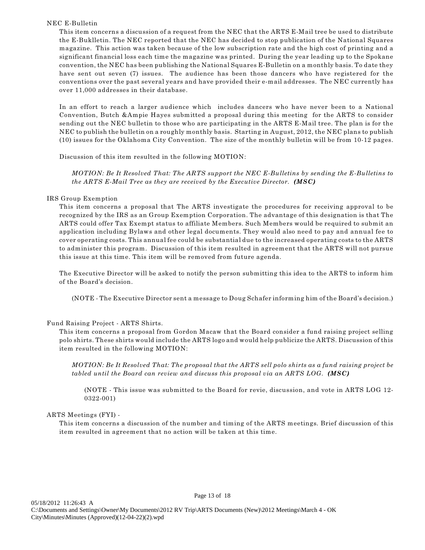# NEC E-Bulletin

This item concerns a discussion of a request from the NEC that the ARTS E-Mail tree be used to distribute the E-Buklletin. The NEC reported that the NEC has decided to stop publication of the National Squares magazine. This action was taken because of the low subscription rate and the high cost of printing and a significant financial loss each time the magazine was printed. During the year leading up to the Spokane convention, the NEC has been publishing the National Squares E-Bulletin on a monthly basis. To date they have sent out seven (7) issues. The audience has been those dancers who have registered for the conventions over the past several years and have provided their e-mail addresses. The NEC currently has over 11,000 addresses in their database.

In an effort to reach a larger audience which includes dancers who have never been to a National Convention, Butch &Ampie Hayes submitted a proposal during this meeting for the ARTS to consider sending out the NEC bulletin to those who are participating in the ARTS E-Mail tree. The plan is for the NEC to publish the bulletin on a roughly monthly basis. Starting in August, 2012, the NEC plans to publish (10) issues for the Oklahoma City Convention. The size of the monthly bulletin will be from 10-12 pages.

Discussion of this item resulted in the following MOTION:

*MOTION: Be It Resolved That: The ARTS support the NEC E-Bulletins by sending the E-Bulletins to the ARTS E-Mail Tree as they are received by the Executive Director. (MSC)*

# IRS Group Exemption

This item concerns a proposal that The ARTS investigate the procedures for receiving approval to be recognized by the IRS as an Group Exemption Corporation. The advantage of this designation is that The ARTS could offer Tax Exempt status to affiliate Members. Such Members would be required to submit an application including Bylaws and other legal documents. They would also need to pay and annual fee to cover operating costs. This annual fee could be substantial due to the increased operating costs to the ARTS to administer this program. Discussion of this item resulted in agreement that the ARTS will not pursue this issue at this time. This item will be removed from future agenda.

The Executive Director will be asked to notify the person submitting this idea to the ARTS to inform him of the Board's decision.

(NOTE - The Executive Director sent a message to Doug Schafer informing him of the Board's decision.)

# Fund Raising Project - ARTS Shirts.

This item concerns a proposal from Gordon Macaw that the Board consider a fund raising project selling polo shirts. These shirts would include the ARTS logo and would help publicize the ARTS. Discussion of this item resulted in the following MOTION:

*MOTION: Be It Resolved That: The proposal that the ARTS sell polo shirts as a fund raising project be tabled until the Board can review and discuss this proposal via an ARTS LOG. (MSC)*

(NOTE - This issue was submitted to the Board for revie, discussion, and vote in ARTS LOG 12- 0322-001)

# ARTS Meetings (FYI) -

This item concerns a discussion of the number and timing of the ARTS meetings. Brief discussion of this item resulted in agreement that no action will be taken at this time.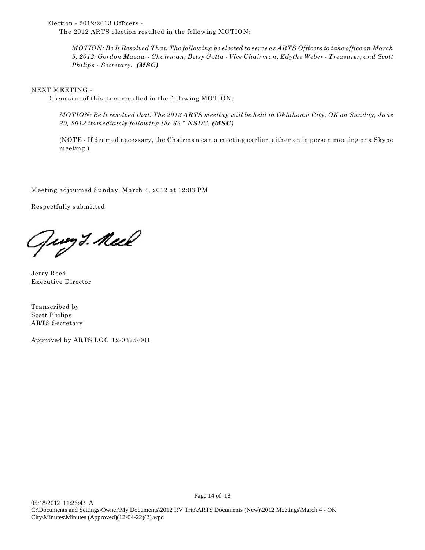Election - 2012/2013 Officers -

The 2012 ARTS election resulted in the following MOTION:

*MOTION: Be It Resolved That: The following be elected to serve as ARTS Officers to take office on March 5, 2012: Gordon Macaw - Chairman; Betsy Gotta - Vice Chairman; Edythe Weber - Treasurer; and Scott Philips - Secretary. (MSC)*

## NEXT MEETING -

Discussion of this item resulted in the following MOTION:

*MOTION: Be It resolved that: The 2013 ARTS meeting will be held in Oklahoma City, OK on Sunday, June* 30, 2013 immediately following the  $62<sup>nd</sup> NSDC$ . (MSC)

(NOTE - If deemed necessary, the Chairman can a meeting earlier, either an in person meeting or a Skype meeting.)

Meeting adjourned Sunday, March 4, 2012 at 12:03 PM

Respectfully submitted

Jury 3. Neel

Jerry Reed Executive Director

Transcribed by Scott Philips ARTS Secretary

Approved by ARTS LOG 12-0325-001

Page 14 of 18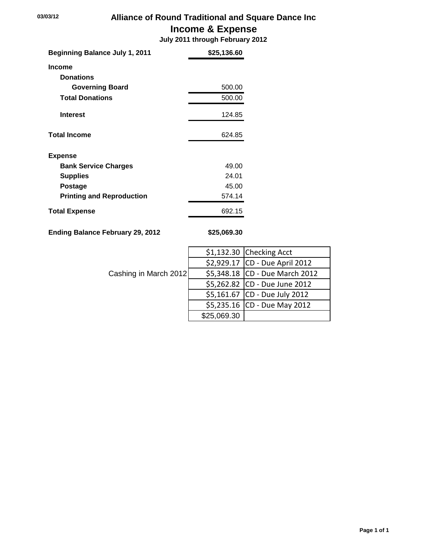# **03/03/12 Alliance of Round Traditional and Square Dance Inc Income & Expense**

 **July 2011 through February 2012**

| <b>Beginning Balance July 1, 2011</b> | \$25,136.60 |
|---------------------------------------|-------------|
| <b>Income</b>                         |             |
| <b>Donations</b>                      |             |
| <b>Governing Board</b>                | 500.00      |
| <b>Total Donations</b>                | 500.00      |
| <b>Interest</b>                       | 124.85      |
| <b>Total Income</b>                   | 624.85      |
| <b>Expense</b>                        |             |
| <b>Bank Service Charges</b>           | 49.00       |
| <b>Supplies</b>                       | 24.01       |
| <b>Postage</b>                        | 45.00       |
| <b>Printing and Reproduction</b>      | 574.14      |
| <b>Total Expense</b>                  | 692.15      |

**Ending Balance February 29, 2012 \$25,069.30**

|                       |             | $$1,132.30$ Checking Acct      |
|-----------------------|-------------|--------------------------------|
|                       |             | \$2,929.17 CD - Due April 2012 |
| Cashing in March 2012 |             | \$5,348.18 CD - Due March 2012 |
|                       |             | \$5,262.82 CD - Due June 2012  |
|                       |             | \$5,161.67 CD - Due July 2012  |
|                       |             | \$5,235.16 CD - Due May 2012   |
|                       | \$25,069.30 |                                |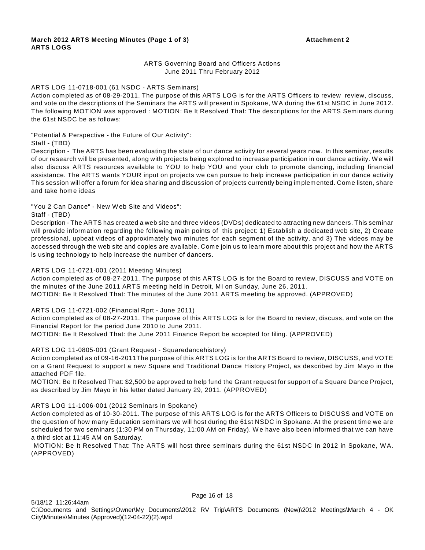# ARTS Governing Board and Officers Actions June 2011 Thru February 2012

#### ARTS LOG 11-0718-001 (61 NSDC - ARTS Seminars)

Action completed as of 08-29-2011. The purpose of this ARTS LOG is for the ARTS Officers to review review, discuss, and vote on the descriptions of the Seminars the ARTS will present in Spokane, W A during the 61st NSDC in June 2012. The following MOTION was approved : MOTION: Be It Resolved That: The descriptions for the ARTS Seminars during the 61st NSDC be as follows:

"Potential & Perspective - the Future of Our Activity":

Staff - (TBD)

Description - The ARTS has been evaluating the state of our dance activity for several years now. In this seminar, results of our research will be presented, along with projects being explored to increase participation in our dance activity. We will also discuss ARTS resources available to YOU to help YOU and your club to promote dancing, including financial assistance. The ARTS wants YOUR input on projects we can pursue to help increase participation in our dance activity This session will offer a forum for idea sharing and discussion of projects currently being implemented. Come listen, share and take home ideas

"You 2 Can Dance" - New W eb Site and Videos":

Staff - (TBD)

Description - The ARTS has created a web site and three videos (DVDs) dedicated to attracting new dancers. This seminar will provide information regarding the following main points of this project: 1) Establish a dedicated web site, 2) Create professional, upbeat videos of approximately two minutes for each segment of the activity, and 3) The videos may be accessed through the web site and copies are available. Come join us to learn more about this project and how the ARTS is using technology to help increase the number of dancers.

#### ARTS LOG 11-0721-001 (2011 Meeting Minutes)

Action completed as of 08-27-2011. The purpose of this ARTS LOG is for the Board to review, DISCUSS and VOTE on the minutes of the June 2011 ARTS meeting held in Detroit, MI on Sunday, June 26, 2011.

MOTION: Be It Resolved That: The minutes of the June 2011 ARTS meeting be approved. (APPROVED)

ARTS LOG 11-0721-002 (Financial Rprt - June 2011)

Action completed as of 08-27-2011. The purpose of this ARTS LOG is for the Board to review, discuss, and vote on the Financial Report for the period June 2010 to June 2011.

MOTION: Be It Resolved That: the June 2011 Finance Report be accepted for filing. (APPROVED)

ARTS LOG 11-0805-001 (Grant Request - Squaredancehistory)

Action completed as of 09-16-2011The purpose of this ARTS LOG is for the ARTS Board to review, DISCUSS, and VOTE on a Grant Request to support a new Square and Traditional Dance History Project, as described by Jim Mayo in the attached PDF file.

MOTION: Be It Resolved That: \$2,500 be approved to help fund the Grant request for support of a Square Dance Project, as described by Jim Mayo in his letter dated January 29, 2011. (APPROVED)

#### ARTS LOG 11-1006-001 (2012 Seminars In Spokane)

Action completed as of 10-30-2011. The purpose of this ARTS LOG is for the ARTS Officers to DISCUSS and VOTE on the question of how many Education seminars we will host during the 61st NSDC in Spokane. At the present time we are scheduled for two seminars (1:30 PM on Thursday, 11:00 AM on Friday). W e have also been informed that we can have a third slot at 11:45 AM on Saturday.

 MOTION: Be It Resolved That: The ARTS will host three seminars during the 61st NSDC In 2012 in Spokane, W A. (APPROVED)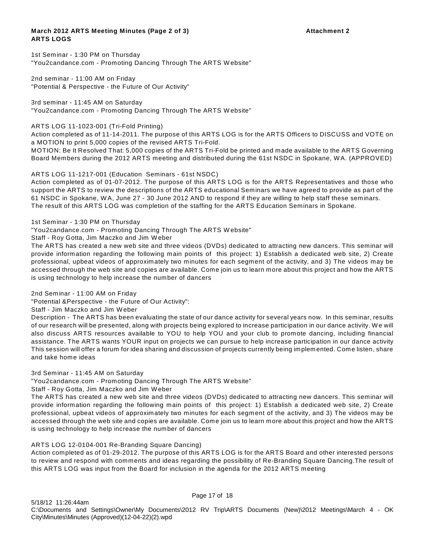## **March 2012 ARTS Meeting Minutes (Page 2 of 3) Attachment 2 ARTS LOGS**

1st Seminar - 1:30 PM on Thursday "You2candance.com - Promoting Dancing Through The ARTS W ebsite"

2nd seminar - 11:00 AM on Friday "Potential & Perspective - the Future of Our Activity"

3rd seminar - 11:45 AM on Saturday "You2candance.com - Promoting Dancing Through The ARTS W ebsite"

ARTS LOG 11-1023-001 (Tri-Fold Printing)

Action completed as of 11-14-2011. The purpose of this ARTS LOG is for the ARTS Officers to DISCUSS and VOTE on a MOTION to print 5,000 copies of the revised ARTS Tri-Fold.

MOTION: Be It Resolved That: 5,000 copies of the ARTS Tri-Fold be printed and made available to the ARTS Governing Board Members during the 2012 ARTS meeting and distributed during the 61st NSDC in Spokane, W A. (APPROVED)

## ARTS LOG 11-1217-001 (Education Seminars - 61st NSDC)

Action completed as of 01-07-2012. The purpose of this ARTS LOG is for the ARTS Representatives and those who support the ARTS to review the descriptions of the ARTS educational Seminars we have agreed to provide as part of the 61 NSDC in Spokane, W A, June 27 - 30 June 2012 AND to respond if they are willing to help staff these seminars. The result of this ARTS LOG was completion of the staffing for the ARTS Education Seminars in Spokane.

1st Seminar - 1:30 PM on Thursday

"You2candance.com - Promoting Dancing Through The ARTS W ebsite"

Staff - Roy Gotta, Jim Maczko and Jim W eber

The ARTS has created a new web site and three videos (DVDs) dedicated to attracting new dancers. This seminar will provide information regarding the following main points of this project: 1) Establish a dedicated web site, 2) Create professional, upbeat videos of approximately two minutes for each segment of the activity, and 3) The videos may be accessed through the web site and copies are available. Come join us to learn more about this project and how the ARTS is using technology to help increase the number of dancers

#### 2nd Seminar - 11:00 AM on Friday

"Potential &Perspective - the Future of Our Activity":

#### Staff - Jim Maczko and Jim W eber

Description - The ARTS has been evaluating the state of our dance activity for several years now. In this seminar, results of our research will be presented, along with projects being explored to increase participation in our dance activity. We will also discuss ARTS resources available to YOU to help YOU and your club to promote dancing, including financial assistance. The ARTS wants YOUR input on projects we can pursue to help increase participation in our dance activity This session will offer a forum for idea sharing and discussion of projects currently being implemented. Come listen, share and take home ideas

# 3rd Seminar - 11:45 AM on Saturday

"You2candance.com - Promoting Dancing Through The ARTS W ebsite"

Staff - Roy Gotta, Jim Maczko and Jim W eber

The ARTS has created a new web site and three videos (DVDs) dedicated to attracting new dancers. This seminar will provide information regarding the following main points of this project: 1) Establish a dedicated web site, 2) Create professional, upbeat videos of approximately two minutes for each segment of the activity, and 3) The videos may be accessed through the web site and copies are available. Come join us to learn more about this project and how the ARTS is using technology to help increase the number of dancers

# ARTS LOG 12-0104-001 Re-Branding Square Dancing)

Action completed as of 01-29-2012. The purpose of this ARTS LOG is for the ARTS Board and other interested persons to review and respond with comments and ideas regarding the possibility of Re-Branding Square Dancing.The result of this ARTS LOG was input from the Board for inclusion in the agenda for the 2012 ARTS meeting